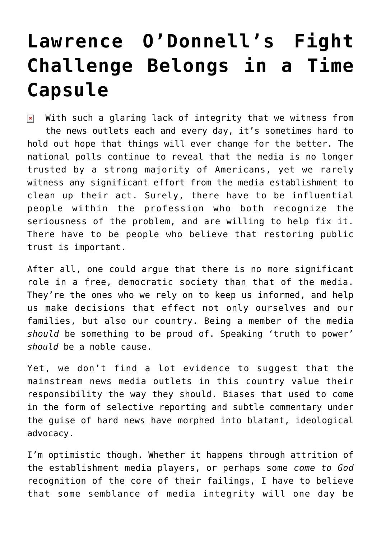## **[Lawrence O'Donnell's Fight](https://bernardgoldberg.com/lawrence-odonnells-fight-challenge-belongs-in-a-time-capsule/) [Challenge Belongs in a Time](https://bernardgoldberg.com/lawrence-odonnells-fight-challenge-belongs-in-a-time-capsule/) [Capsule](https://bernardgoldberg.com/lawrence-odonnells-fight-challenge-belongs-in-a-time-capsule/)**

With such a glaring lack of integrity that we witness from  $\pmb{\times}$ the news outlets each and every day, it's sometimes hard to hold out hope that things will ever change for the better. The national polls continue to reveal that the media is no longer trusted by a strong majority of Americans, yet we rarely witness any significant effort from the media establishment to clean up their act. Surely, there have to be influential people within the profession who both recognize the seriousness of the problem, and are willing to help fix it. There have to be people who believe that restoring public trust is important.

After all, one could argue that there is no more significant role in a free, democratic society than that of the media. They're the ones who we rely on to keep us informed, and help us make decisions that effect not only ourselves and our families, but also our country. Being a member of the media *should* be something to be proud of. Speaking 'truth to power' *should* be a noble cause.

Yet, we don't find a lot evidence to suggest that the mainstream news media outlets in this country value their responsibility the way they should. Biases that used to come in the form of selective reporting and subtle commentary under the guise of hard news have morphed into blatant, ideological advocacy.

I'm optimistic though. Whether it happens through attrition of the establishment media players, or perhaps some *come to God* recognition of the core of their failings, I have to believe that some semblance of media integrity will one day be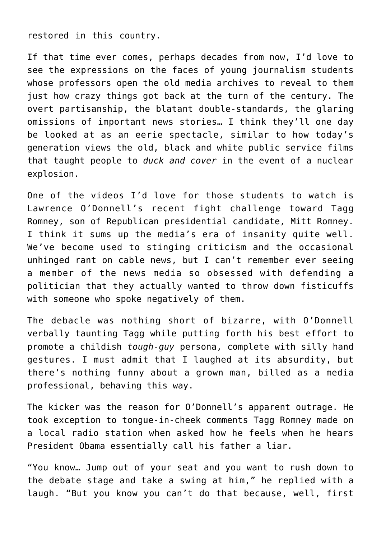restored in this country.

If that time ever comes, perhaps decades from now, I'd love to see the expressions on the faces of young journalism students whose professors open the old media archives to reveal to them just how crazy things got back at the turn of the century. The overt partisanship, the blatant double-standards, the glaring omissions of important news stories… I think they'll one day be looked at as an eerie spectacle, similar to how today's generation views the old, black and white public service films that taught people to *duck and cover* in the event of a nuclear explosion.

One of the videos I'd love for those students to watch is Lawrence O'Donnell's recent [fight challenge](http://www.youtube.com/watch?v=b46UzeMX95s) toward Tagg Romney, son of Republican presidential candidate, Mitt Romney. I think it sums up the media's era of insanity quite well. We've become used to stinging criticism and the occasional unhinged rant on cable news, but I can't remember ever seeing a member of the news media so obsessed with defending a politician that they actually wanted to throw down fisticuffs with someone who spoke negatively of them.

The debacle was nothing short of bizarre, with O'Donnell verbally taunting Tagg while putting forth his best effort to promote a childish *tough-guy* persona, complete with silly hand gestures. I must admit that I laughed at its absurdity, but there's nothing funny about a grown man, billed as a media professional, behaving this way.

The kicker was the reason for O'Donnell's apparent outrage. He took exception to tongue-in-cheek comments Tagg Romney made on a local radio station when asked how he feels when he hears President Obama essentially call his father a liar.

"You know… Jump out of your seat and you want to rush down to the debate stage and take a swing at him," he replied with a laugh. "But you know you can't do that because, well, first